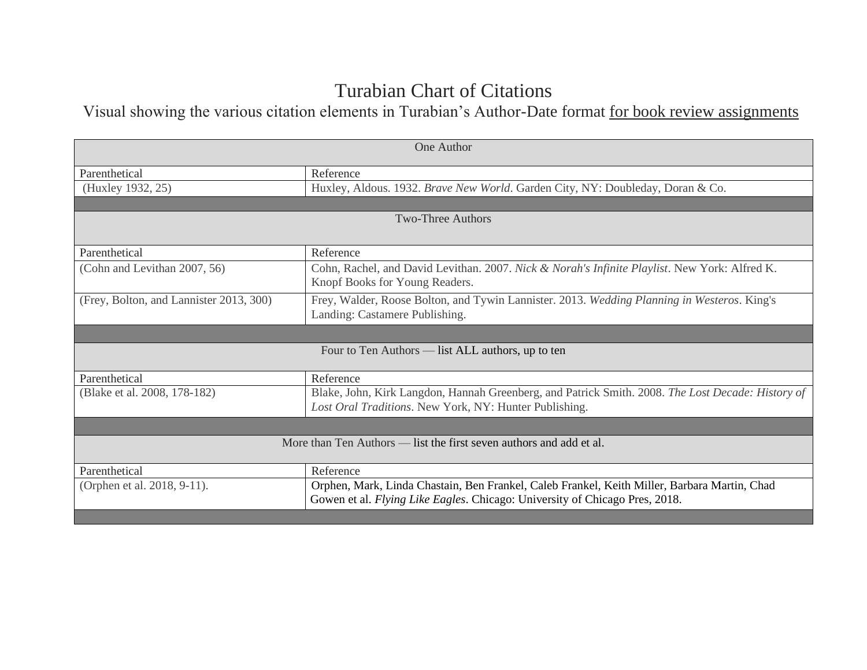## Turabian Chart of Citations

Visual showing the various citation elements in Turabian's Author-Date format for book review assignments

| One Author                                                                                                                                                                  |  |  |
|-----------------------------------------------------------------------------------------------------------------------------------------------------------------------------|--|--|
| Reference                                                                                                                                                                   |  |  |
| Huxley, Aldous. 1932. Brave New World. Garden City, NY: Doubleday, Doran & Co.                                                                                              |  |  |
|                                                                                                                                                                             |  |  |
| <b>Two-Three Authors</b>                                                                                                                                                    |  |  |
| Reference                                                                                                                                                                   |  |  |
| Cohn, Rachel, and David Levithan. 2007. Nick & Norah's Infinite Playlist. New York: Alfred K.<br>Knopf Books for Young Readers.                                             |  |  |
| Frey, Walder, Roose Bolton, and Tywin Lannister. 2013. Wedding Planning in Westeros. King's<br>Landing: Castamere Publishing.                                               |  |  |
|                                                                                                                                                                             |  |  |
| Four to Ten Authors — list ALL authors, up to ten                                                                                                                           |  |  |
| Reference                                                                                                                                                                   |  |  |
| Blake, John, Kirk Langdon, Hannah Greenberg, and Patrick Smith. 2008. The Lost Decade: History of<br>Lost Oral Traditions. New York, NY: Hunter Publishing.                 |  |  |
|                                                                                                                                                                             |  |  |
| More than Ten Authors — list the first seven authors and add et al.                                                                                                         |  |  |
| Reference                                                                                                                                                                   |  |  |
| Orphen, Mark, Linda Chastain, Ben Frankel, Caleb Frankel, Keith Miller, Barbara Martin, Chad<br>Gowen et al. Flying Like Eagles. Chicago: University of Chicago Pres, 2018. |  |  |
|                                                                                                                                                                             |  |  |